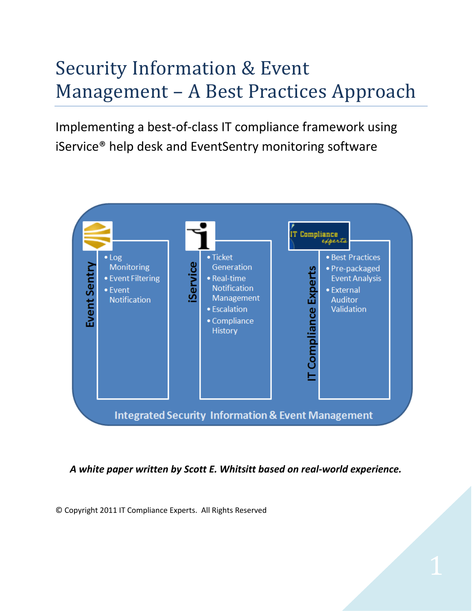# Security Information & Event Management – A Best Practices Approach

Implementing a best-of-class IT compliance framework using iService® help desk and EventSentry monitoring software



*A white paper written by Scott E. Whitsitt based on real-world experience.*

© Copyright 2011 IT Compliance Experts. All Rights Reserved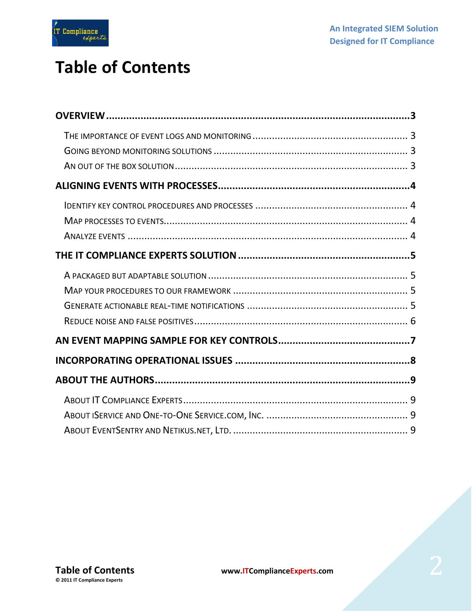

### **Table of Contents**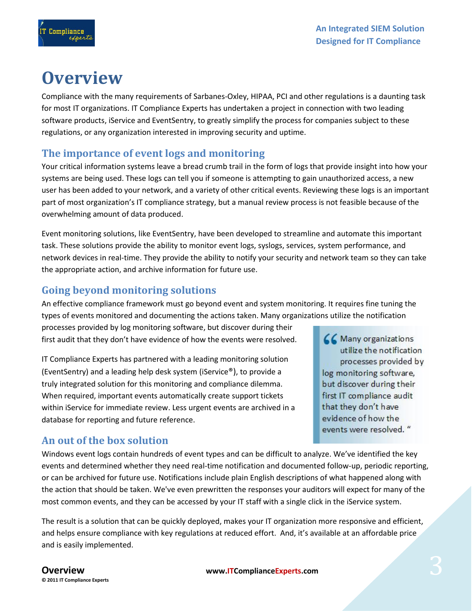66 Many organizations

log monitoring software, but discover during their first IT compliance audit that they don't have evidence of how the events were resolved. "

utilize the notification processes provided by

# <span id="page-2-0"></span>**Overview**

Compliance with the many requirements of Sarbanes-Oxley, HIPAA, PCI and other regulations is a daunting task for most IT organizations. IT Compliance Experts has undertaken a project in connection with two leading software products, iService and EventSentry, to greatly simplify the process for companies subject to these regulations, or any organization interested in improving security and uptime.

#### <span id="page-2-1"></span>**The importance of event logs and monitoring**

Your critical information systems leave a bread crumb trail in the form of logs that provide insight into how your systems are being used. These logs can tell you if someone is attempting to gain unauthorized access, a new user has been added to your network, and a variety of other critical events. Reviewing these logs is an important part of most organization's IT compliance strategy, but a manual review process is not feasible because of the overwhelming amount of data produced.

Event monitoring solutions, like EventSentry, have been developed to streamline and automate this important task. These solutions provide the ability to monitor event logs, syslogs, services, system performance, and network devices in real-time. They provide the ability to notify your security and network team so they can take the appropriate action, and archive information for future use.

#### <span id="page-2-2"></span>**Going beyond monitoring solutions**

An effective compliance framework must go beyond event and system monitoring. It requires fine tuning the types of events monitored and documenting the actions taken. Many organizations utilize the notification

processes provided by log monitoring software, but discover during their first audit that they don't have evidence of how the events were resolved.

IT Compliance Experts has partnered with a leading monitoring solution (EventSentry) and a leading help desk system (iService®), to provide a truly integrated solution for this monitoring and compliance dilemma. When required, important events automatically create support tickets within iService for immediate review. Less urgent events are archived in a database for reporting and future reference.

#### <span id="page-2-3"></span>**An out of the box solution**

Windows event logs contain hundreds of event types and can be difficult to analyze. We've identified the key events and determined whether they need real-time notification and documented follow-up, periodic reporting, or can be archived for future use. Notifications include plain English descriptions of what happened along with the action that should be taken. We've even prewritten the responses your auditors will expect for many of the most common events, and they can be accessed by your IT staff with a single click in the iService system.

The result is a solution that can be quickly deployed, makes your IT organization more responsive and efficient, and helps ensure compliance with key regulations at reduced effort. And, it's available at an affordable price and is easily implemented.

**© 2011 IT Compliance Experts**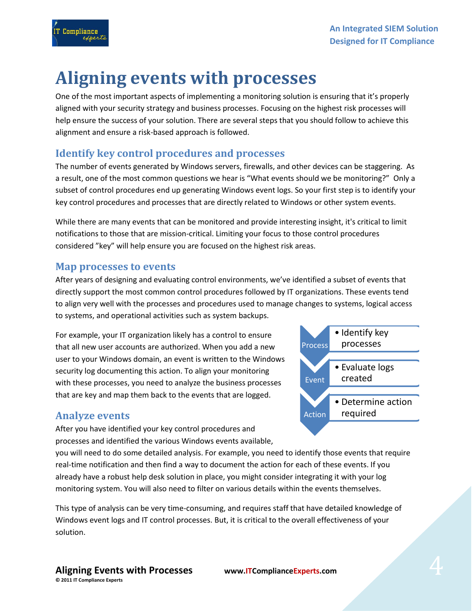<span id="page-3-0"></span>

One of the most important aspects of implementing a monitoring solution is ensuring that it's properly aligned with your security strategy and business processes. Focusing on the highest risk processes will help ensure the success of your solution. There are several steps that you should follow to achieve this alignment and ensure a risk-based approach is followed.

### <span id="page-3-1"></span>**Identify key control procedures and processes**

The number of events generated by Windows servers, firewalls, and other devices can be staggering. As a result, one of the most common questions we hear is "What events should we be monitoring?" Only a subset of control procedures end up generating Windows event logs. So your first step is to identify your key control procedures and processes that are directly related to Windows or other system events.

While there are many events that can be monitored and provide interesting insight, it's critical to limit notifications to those that are mission-critical. Limiting your focus to those control procedures considered "key" will help ensure you are focused on the highest risk areas.

#### <span id="page-3-2"></span>**Map processes to events**

Compliance

After years of designing and evaluating control environments, we've identified a subset of events that directly support the most common control procedures followed by IT organizations. These events tend to align very well with the processes and procedures used to manage changes to systems, logical access to systems, and operational activities such as system backups.

For example, your IT organization likely has a control to ensure that all new user accounts are authorized. When you add a new user to your Windows domain, an event is written to the Windows security log documenting this action. To align your monitoring with these processes, you need to analyze the business processes that are key and map them back to the events that are logged.

#### <span id="page-3-3"></span>**Analyze events**

After you have identified your key control procedures and processes and identified the various Windows events available,

you will need to do some detailed analysis. For example, you need to identify those events that require real-time notification and then find a way to document the action for each of these events. If you already have a robust help desk solution in place, you might consider integrating it with your log monitoring system. You will also need to filter on various details within the events themselves.

This type of analysis can be very time-consuming, and requires staff that have detailed knowledge of Windows event logs and IT control processes. But, it is critical to the overall effectiveness of your solution.

Process processes **Event** • Evaluate logs created Action • Determine action required

• Identify key

**Aligning Events with Processes www.ITComplianceExperts.com © 2011 IT Compliance Experts**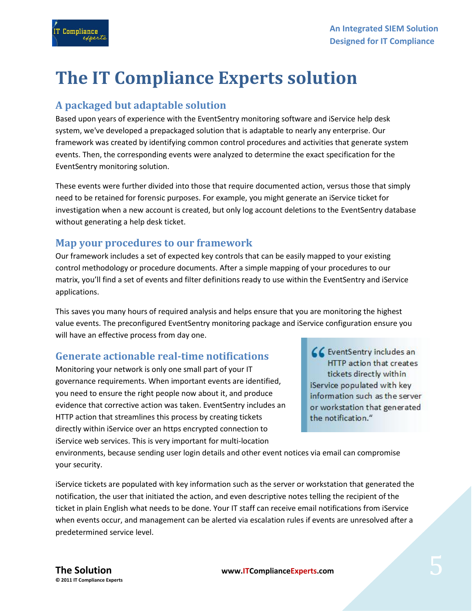# <span id="page-4-0"></span>**The IT Compliance Experts solution**

#### <span id="page-4-1"></span>**A packaged but adaptable solution**

**Compliance** 

Based upon years of experience with the EventSentry monitoring software and iService help desk system, we've developed a prepackaged solution that is adaptable to nearly any enterprise. Our framework was created by identifying common control procedures and activities that generate system events. Then, the corresponding events were analyzed to determine the exact specification for the EventSentry monitoring solution.

These events were further divided into those that require documented action, versus those that simply need to be retained for forensic purposes. For example, you might generate an iService ticket for investigation when a new account is created, but only log account deletions to the EventSentry database without generating a help desk ticket.

#### <span id="page-4-2"></span>**Map your procedures to our framework**

Our framework includes a set of expected key controls that can be easily mapped to your existing control methodology or procedure documents. After a simple mapping of your procedures to our matrix, you'll find a set of events and filter definitions ready to use within the EventSentry and iService applications.

This saves you many hours of required analysis and helps ensure that you are monitoring the highest value events. The preconfigured EventSentry monitoring package and iService configuration ensure you will have an effective process from day one.

#### <span id="page-4-3"></span>**Generate actionable real-time notifications**

Monitoring your network is only one small part of your IT governance requirements. When important events are identified, you need to ensure the right people now about it, and produce evidence that corrective action was taken. EventSentry includes an HTTP action that streamlines this process by creating tickets directly within iService over an https encrypted connection to iService web services. This is very important for multi-location

CC EventSentry includes an HTTP action that creates tickets directly within iService populated with key information such as the server or workstation that generated the notification."

environments, because sending user login details and other event notices via email can compromise your security.

iService tickets are populated with key information such as the server or workstation that generated the notification, the user that initiated the action, and even descriptive notes telling the recipient of the ticket in plain English what needs to be done. Your IT staff can receive email notifications from iService when events occur, and management can be alerted via escalation rules if events are unresolved after a predetermined service level.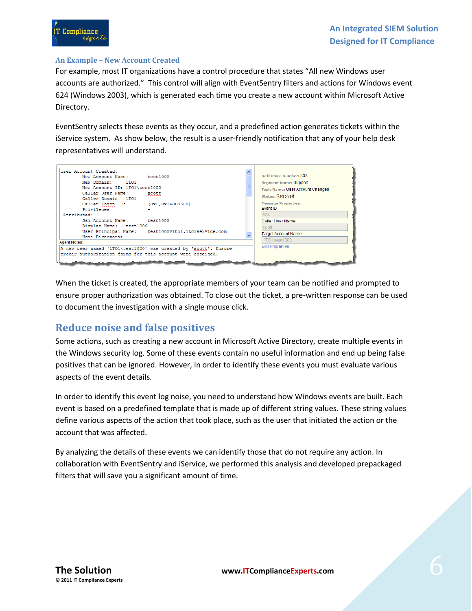

#### **An Example – New Account Created**

For example, most IT organizations have a control procedure that states "All new Windows user accounts are authorized." This control will align with EventSentry filters and actions for Windows event 624 (Windows 2003), which is generated each time you create a new account within Microsoft Active Directory.

EventSentry selects these events as they occur, and a predefined action generates tickets within the iService system. As show below, the result is a user-friendly notification that any of your help desk representatives will understand.



When the ticket is created, the appropriate members of your team can be notified and prompted to ensure proper authorization was obtained. To close out the ticket, a pre-written response can be used to document the investigation with a single mouse click.

#### <span id="page-5-0"></span>**Reduce noise and false positives**

Some actions, such as creating a new account in Microsoft Active Directory, create multiple events in the Windows security log. Some of these events contain no useful information and end up being false positives that can be ignored. However, in order to identify these events you must evaluate various aspects of the event details.

In order to identify this event log noise, you need to understand how Windows events are built. Each event is based on a predefined template that is made up of different string values. These string values define various aspects of the action that took place, such as the user that initiated the action or the account that was affected.

By analyzing the details of these events we can identify those that do not require any action. In collaboration with EventSentry and iService, we performed this analysis and developed prepackaged filters that will save you a significant amount of time.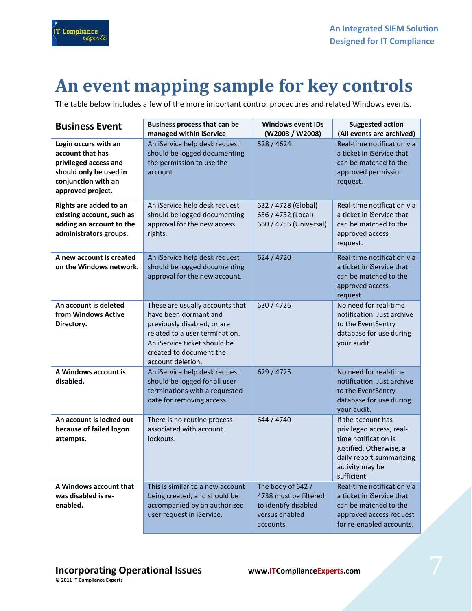

## <span id="page-6-0"></span>**An event mapping sample for key controls**

The table below includes a few of the more important control procedures and related Windows events.

| <b>Business Event</b>                                                                                                                   | <b>Business process that can be</b><br>managed within iService                                                                                                                                            | <b>Windows event IDs</b><br>(W2003 / W2008)                                                       | <b>Suggested action</b><br>(All events are archived)                                                                                                            |
|-----------------------------------------------------------------------------------------------------------------------------------------|-----------------------------------------------------------------------------------------------------------------------------------------------------------------------------------------------------------|---------------------------------------------------------------------------------------------------|-----------------------------------------------------------------------------------------------------------------------------------------------------------------|
| Login occurs with an<br>account that has<br>privileged access and<br>should only be used in<br>conjunction with an<br>approved project. | An iService help desk request<br>should be logged documenting<br>the permission to use the<br>account.                                                                                                    | 528 / 4624                                                                                        | Real-time notification via<br>a ticket in iService that<br>can be matched to the<br>approved permission<br>request.                                             |
| Rights are added to an<br>existing account, such as<br>adding an account to the<br>administrators groups.                               | An iService help desk request<br>should be logged documenting<br>approval for the new access<br>rights.                                                                                                   | 632 / 4728 (Global)<br>636 / 4732 (Local)<br>660 / 4756 (Universal)                               | Real-time notification via<br>a ticket in iService that<br>can be matched to the<br>approved access<br>request.                                                 |
| A new account is created<br>on the Windows network.                                                                                     | An iService help desk request<br>should be logged documenting<br>approval for the new account.                                                                                                            | 624 / 4720                                                                                        | Real-time notification via<br>a ticket in iService that<br>can be matched to the<br>approved access<br>request.                                                 |
| An account is deleted<br>from Windows Active<br>Directory.                                                                              | These are usually accounts that<br>have been dormant and<br>previously disabled, or are<br>related to a user termination.<br>An iService ticket should be<br>created to document the<br>account deletion. | 630 / 4726                                                                                        | No need for real-time<br>notification. Just archive<br>to the EventSentry<br>database for use during<br>your audit.                                             |
| A Windows account is<br>disabled.                                                                                                       | An iService help desk request<br>should be logged for all user<br>terminations with a requested<br>date for removing access.                                                                              | 629 / 4725                                                                                        | No need for real-time<br>notification. Just archive<br>to the EventSentry<br>database for use during<br>your audit.                                             |
| An account is locked out<br>because of failed logon<br>attempts.                                                                        | There is no routine process<br>associated with account<br>lockouts.                                                                                                                                       | 644 / 4740                                                                                        | If the account has<br>privileged access, real-<br>time notification is<br>justified. Otherwise, a<br>daily report summarizing<br>activity may be<br>sufficient. |
| A Windows account that<br>was disabled is re-<br>enabled.                                                                               | This is similar to a new account<br>being created, and should be<br>accompanied by an authorized<br>user request in iService.                                                                             | The body of 642 /<br>4738 must be filtered<br>to identify disabled<br>versus enabled<br>accounts. | Real-time notification via<br>a ticket in iService that<br>can be matched to the<br>approved access request<br>for re-enabled accounts.                         |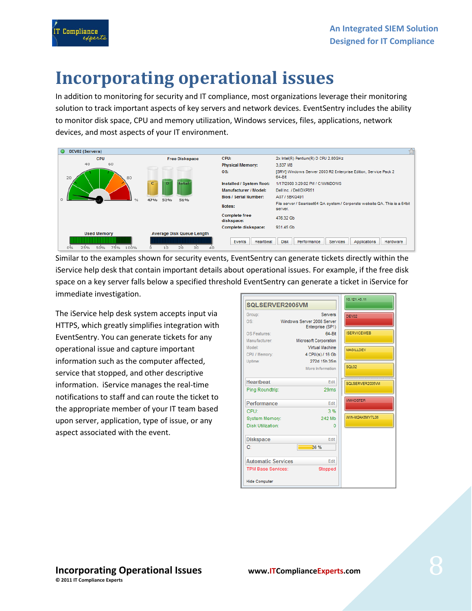

# <span id="page-7-0"></span>**Incorporating operational issues**

In addition to monitoring for security and IT compliance, most organizations leverage their monitoring solution to track important aspects of key servers and network devices. EventSentry includes the ability to monitor disk space, CPU and memory utilization, Windows services, files, applications, network devices, and most aspects of your IT environment.

| DEV02 (Servers)         |                                    |                                    |                                                                                       |
|-------------------------|------------------------------------|------------------------------------|---------------------------------------------------------------------------------------|
| <b>CPU</b>              | <b>Free Diskspace</b>              | CPU:                               | 2x Intel(R) Pentium(R) D CPU 2.80GHz                                                  |
| 40<br>60                |                                    | <b>Physical Memory:</b>            | 3.837 MB                                                                              |
| 20                      | 80                                 | OS:                                | [SRV] Windows Server 2003 R2 Enterprise Edition, Service Pack 2<br>64-Bit             |
|                         | $\mathbf{C}$<br>total<br>n         | Installed / System Root:           | 1/17/2008 3:29:02 PM / C:W/INDOWS                                                     |
|                         |                                    | Manufacturer / Model:              | Dell Inc. / Dell DXP051                                                               |
|                         | 47%<br>$\frac{1}{2}$<br>52%<br>51% | <b>Bios / Serial Number:</b>       | A07 / 5BKQ491                                                                         |
|                         |                                    | Notes:                             | File server / Seantest64 QA system / Corporate website QA. This is a 64bit<br>server. |
|                         |                                    | <b>Complete free</b><br>diskspace: | 476.32 Gb                                                                             |
|                         |                                    | Complete diskspace:                | 931.45 Gb                                                                             |
| <b>Used Memory</b>      | <b>Average Disk Queue Length</b>   |                                    |                                                                                       |
| 75%<br>50%<br>25%<br>0% | 30<br>100%<br>20                   | Events<br>Heartbeat                | <b>Disk</b><br>Performance<br>Services<br>Applications<br>Hardware                    |

Similar to the examples shown for security events, EventSentry can generate tickets directly within the iService help desk that contain important details about operational issues. For example, if the free disk space on a key server falls below a specified threshold EventSentry can generate a ticket in iService for immediate investigation.

The iService help desk system accepts input via HTTPS, which greatly simplifies integration with EventSentry. You can generate tickets for any operational issue and capture important information such as the computer affected, service that stopped, and other descriptive information. iService manages the real-time notifications to staff and can route the ticket to the appropriate member of your IT team based upon server, application, type of issue, or any aspect associated with the event.

|                           |                                                | 10.121.45.11       |  |
|---------------------------|------------------------------------------------|--------------------|--|
| SQLSERVER2005VM           |                                                |                    |  |
| Group:                    | <b>Servers</b>                                 | DEV02              |  |
| OS:                       | Windows Server 2008 Server<br>Enterprise (SP1) |                    |  |
| OS Features:              | $64 - Bit$                                     | <b>ISERVICEWEB</b> |  |
| Manufacturer:             | Microsoft Corporation                          |                    |  |
| Model:                    | Virtual Machine                                | <b>MAGILLDEV</b>   |  |
| CPU / Memory:             | 4 CPU(s) / 16 Gb                               |                    |  |
| Uptime:                   | 272d 15h 35m                                   |                    |  |
|                           | More Information                               | SQL02              |  |
| <b>Heartbeat</b>          | <b>Edit</b>                                    | SQLSERVER2005VM    |  |
| Ping Roundtrip:           | 29ms                                           |                    |  |
| Performance               | Edit                                           | <b>VMHOSTER</b>    |  |
| <b>CPU</b> :              | 3%                                             |                    |  |
| System Memory:            | 242 Mb                                         | WIN-M2AK6MY7L06    |  |
| Disk Utilization:         | n                                              |                    |  |
| <b>Diskspace</b>          | Edit                                           |                    |  |
| C.                        | 36 %                                           |                    |  |
| <b>Automatic Services</b> | <b>Edit</b>                                    |                    |  |
| <b>TPM Base Services:</b> | Stopped                                        |                    |  |
| <b>Hide Computer</b>      |                                                |                    |  |